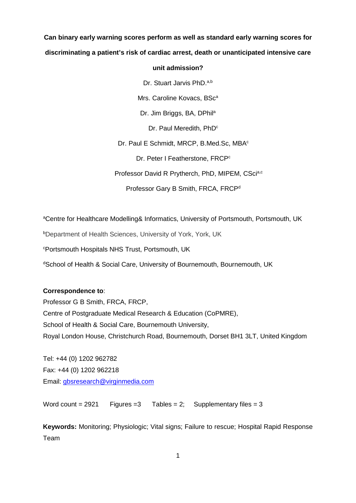# **Can binary early warning scores perform as well as standard early warning scores for discriminating a patient's risk of cardiac arrest, death or unanticipated intensive care**

# **unit admission?**

Dr. Stuart Jarvis PhD.<sup>a,b</sup>

Mrs. Caroline Kovacs, BSc<sup>a</sup>

Dr. Jim Briggs, BA, DPhil<sup>a</sup>

Dr. Paul Meredith, PhD<sup>c</sup>

Dr. Paul E Schmidt, MRCP, B.Med.Sc, MBA<sup>c</sup>

Dr. Peter I Featherstone, FRCP<sup>c</sup>

Professor David R Prytherch, PhD, MIPEM, CScia,c

Professor Gary B Smith, FRCA, FRCP<sup>d</sup>

<sup>a</sup>Centre for Healthcare Modelling& Informatics, University of Portsmouth, Portsmouth, UK

b Department of Health Sciences, University of York, York, UK

c Portsmouth Hospitals NHS Trust, Portsmouth, UK

d School of Health & Social Care, University of Bournemouth, Bournemouth, UK

# **Correspondence to**:

Professor G B Smith, FRCA, FRCP, Centre of Postgraduate Medical Research & Education (CoPMRE), School of Health & Social Care, Bournemouth University, Royal London House, Christchurch Road, Bournemouth, Dorset BH1 3LT, United Kingdom

Tel: +44 (0) 1202 962782 Fax: +44 (0) 1202 962218 Email: [gbsresearch@virginmedia.com](mailto:gbsresearch@virginmedia.com)

Word count =  $2921$  Figures = 3 Tables = 2; Supplementary files = 3

**Keywords:** Monitoring; Physiologic; Vital signs; Failure to rescue; Hospital Rapid Response Team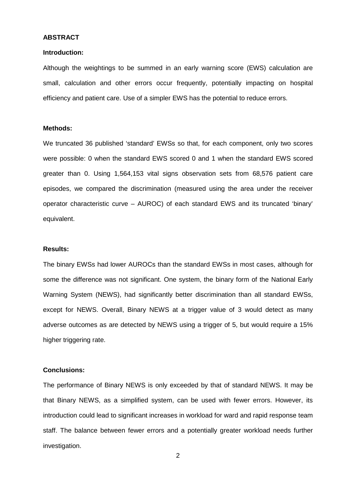#### **ABSTRACT**

#### **Introduction:**

Although the weightings to be summed in an early warning score (EWS) calculation are small, calculation and other errors occur frequently, potentially impacting on hospital efficiency and patient care. Use of a simpler EWS has the potential to reduce errors.

## **Methods:**

We truncated 36 published 'standard' EWSs so that, for each component, only two scores were possible: 0 when the standard EWS scored 0 and 1 when the standard EWS scored greater than 0. Using 1,564,153 vital signs observation sets from 68,576 patient care episodes, we compared the discrimination (measured using the area under the receiver operator characteristic curve – AUROC) of each standard EWS and its truncated 'binary' equivalent.

#### **Results:**

The binary EWSs had lower AUROCs than the standard EWSs in most cases, although for some the difference was not significant. One system, the binary form of the National Early Warning System (NEWS), had significantly better discrimination than all standard EWSs, except for NEWS. Overall, Binary NEWS at a trigger value of 3 would detect as many adverse outcomes as are detected by NEWS using a trigger of 5, but would require a 15% higher triggering rate.

## **Conclusions:**

The performance of Binary NEWS is only exceeded by that of standard NEWS. It may be that Binary NEWS, as a simplified system, can be used with fewer errors. However, its introduction could lead to significant increases in workload for ward and rapid response team staff. The balance between fewer errors and a potentially greater workload needs further investigation.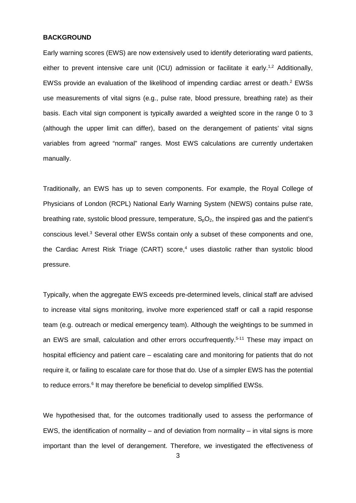## **BACKGROUND**

Early warning scores (EWS) are now extensively used to identify deteriorating ward patients, either to prevent intensive care unit (ICU) admission or facilitate it early.<sup>1,2</sup> Additionally, EWSs provide an evaluation of the likelihood of impending cardiac arrest or death. <sup>2</sup> EWSs use measurements of vital signs (e.g., pulse rate, blood pressure, breathing rate) as their basis. Each vital sign component is typically awarded a weighted score in the range 0 to 3 (although the upper limit can differ), based on the derangement of patients' vital signs variables from agreed "normal" ranges. Most EWS calculations are currently undertaken manually.

Traditionally, an EWS has up to seven components. For example, the Royal College of Physicians of London (RCPL) National Early Warning System (NEWS) contains pulse rate, breathing rate, systolic blood pressure, temperature,  $S_0O_2$ , the inspired gas and the patient's conscious level.3 Several other EWSs contain only a subset of these components and one, the Cardiac Arrest Risk Triage (CART) score,<sup>4</sup> uses diastolic rather than systolic blood pressure.

Typically, when the aggregate EWS exceeds pre-determined levels, clinical staff are advised to increase vital signs monitoring, involve more experienced staff or call a rapid response team (e.g. outreach or medical emergency team). Although the weightings to be summed in an EWS are small, calculation and other errors occurfrequently. 5-11 These may impact on hospital efficiency and patient care – escalating care and monitoring for patients that do not require it, or failing to escalate care for those that do. Use of a simpler EWS has the potential to reduce errors.<sup>6</sup> It may therefore be beneficial to develop simplified EWSs.

We hypothesised that, for the outcomes traditionally used to assess the performance of EWS, the identification of normality – and of deviation from normality – in vital signs is more important than the level of derangement. Therefore, we investigated the effectiveness of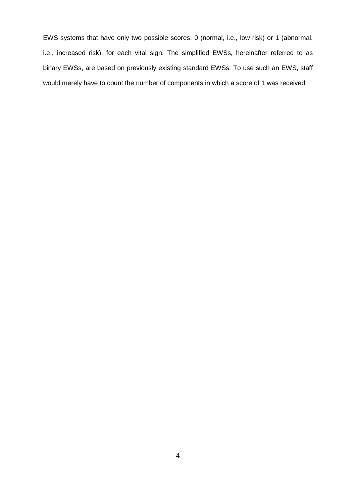EWS systems that have only two possible scores, 0 (normal, i.e., low risk) or 1 (abnormal, i.e., increased risk), for each vital sign. The simplified EWSs, hereinafter referred to as binary EWSs, are based on previously existing standard EWSs. To use such an EWS, staff would merely have to count the number of components in which a score of 1 was received.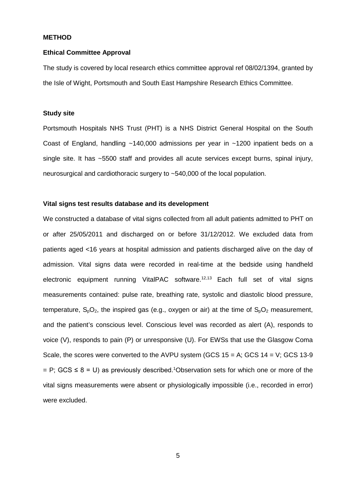#### **METHOD**

## **Ethical Committee Approval**

The study is covered by local research ethics committee approval ref 08/02/1394, granted by the Isle of Wight, Portsmouth and South East Hampshire Research Ethics Committee.

## **Study site**

Portsmouth Hospitals NHS Trust (PHT) is a NHS District General Hospital on the South Coast of England, handling ~140,000 admissions per year in ~1200 inpatient beds on a single site. It has ~5500 staff and provides all acute services except burns, spinal injury, neurosurgical and cardiothoracic surgery to ~540,000 of the local population.

## **Vital signs test results database and its development**

We constructed a database of vital signs collected from all adult patients admitted to PHT on or after 25/05/2011 and discharged on or before 31/12/2012. We excluded data from patients aged <16 years at hospital admission and patients discharged alive on the day of admission. Vital signs data were recorded in real-time at the bedside using handheld electronic equipment running VitalPAC software.<sup>12,13</sup> Each full set of vital signs measurements contained: pulse rate, breathing rate, systolic and diastolic blood pressure, temperature,  $S_0O_2$ , the inspired gas (e.g., oxygen or air) at the time of  $S_0O_2$  measurement, and the patient's conscious level. Conscious level was recorded as alert (A), responds to voice (V), responds to pain (P) or unresponsive (U). For EWSs that use the Glasgow Coma Scale, the scores were converted to the AVPU system (GCS  $15 = A$ ; GCS  $14 = V$ ; GCS  $13-9$  $=$  P; GCS  $\leq$  8 = U) as previously described.<sup>1</sup>Observation sets for which one or more of the vital signs measurements were absent or physiologically impossible (i.e., recorded in error) were excluded.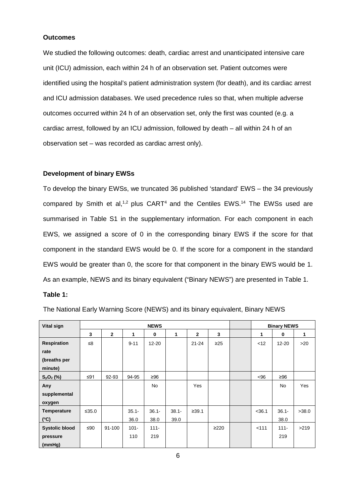## **Outcomes**

We studied the following outcomes: death, cardiac arrest and unanticipated intensive care unit (ICU) admission, each within 24 h of an observation set. Patient outcomes were identified using the hospital's patient administration system (for death), and its cardiac arrest and ICU admission databases. We used precedence rules so that, when multiple adverse outcomes occurred within 24 h of an observation set, only the first was counted (e.g. a cardiac arrest, followed by an ICU admission, followed by death – all within 24 h of an observation set – was recorded as cardiac arrest only).

## **Development of binary EWSs**

To develop the binary EWSs, we truncated 36 published 'standard' EWS – the 34 previously compared by Smith et al,<sup>1,2</sup> plus  $CART<sup>4</sup>$  and the Centiles EWS.<sup>14</sup> The EWSs used are summarised in Table S1 in the supplementary information. For each component in each EWS, we assigned a score of 0 in the corresponding binary EWS if the score for that component in the standard EWS would be 0. If the score for a component in the standard EWS would be greater than 0, the score for that component in the binary EWS would be 1. As an example, NEWS and its binary equivalent ("Binary NEWS") are presented in Table 1.

## **Table 1:**

| The National Early Warning Score (NEWS) and its binary equivalent, Binary NEWS |  |
|--------------------------------------------------------------------------------|--|
|                                                                                |  |

| Vital sign            | <b>NEWS</b> |              |          |           |          |                | <b>Binary NEWS</b> |          |           |       |
|-----------------------|-------------|--------------|----------|-----------|----------|----------------|--------------------|----------|-----------|-------|
|                       | 3           | $\mathbf{2}$ | 1        | $\bf{0}$  | 1        | $\overline{2}$ | 3                  | 1        | 0         | 1     |
| <b>Respiration</b>    | ≤8          |              | $9 - 11$ | $12 - 20$ |          | $21 - 24$      | $\geq$ 25          | < 12     | 12-20     | >20   |
| rate                  |             |              |          |           |          |                |                    |          |           |       |
| (breaths per          |             |              |          |           |          |                |                    |          |           |       |
| minute)               |             |              |          |           |          |                |                    |          |           |       |
| $S_pO_2$ (%)          | ≤91         | 92-93        | 94-95    | ≥96       |          |                |                    | $96$     | ≥96       |       |
| Any                   |             |              |          | <b>No</b> |          | Yes            |                    |          | <b>No</b> | Yes   |
| supplemental          |             |              |          |           |          |                |                    |          |           |       |
| oxygen                |             |              |          |           |          |                |                    |          |           |       |
| <b>Temperature</b>    | ≤35.0       |              | $35.1 -$ | $36.1 -$  | $38.1 -$ | ≥39.1          |                    | $<$ 36.1 | $36.1 -$  | >38.0 |
| $(^{\circ}C)$         |             |              | 36.0     | 38.0      | 39.0     |                |                    |          | 38.0      |       |
| <b>Systolic blood</b> | ≤ $90$      | 91-100       | $101 -$  | $111 -$   |          |                | $\geq$ 220         | < 111    | $111 -$   | >219  |
| pressure              |             |              | 110      | 219       |          |                |                    |          | 219       |       |
| (mmHg)                |             |              |          |           |          |                |                    |          |           |       |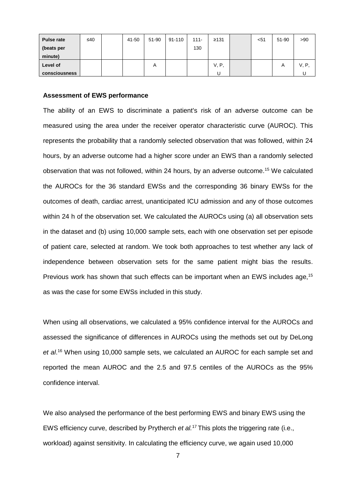| <b>Pulse rate</b> | ≤40 | 41-50 | 51-90 | 91-110 | $111 -$ | ≥131  | $51$ | 51-90 | >90   |
|-------------------|-----|-------|-------|--------|---------|-------|------|-------|-------|
| (beats per        |     |       |       |        | 130     |       |      |       |       |
| minute)           |     |       |       |        |         |       |      |       |       |
| Level of          |     |       | А     |        |         | V, P, |      | Α     | V, P, |
| consciousness     |     |       |       |        |         | U     |      |       |       |

#### **Assessment of EWS performance**

The ability of an EWS to discriminate a patient's risk of an adverse outcome can be measured using the area under the receiver operator characteristic curve (AUROC). This represents the probability that a randomly selected observation that was followed, within 24 hours, by an adverse outcome had a higher score under an EWS than a randomly selected observation that was not followed, within 24 hours, by an adverse outcome. <sup>15</sup> We calculated the AUROCs for the 36 standard EWSs and the corresponding 36 binary EWSs for the outcomes of death, cardiac arrest, unanticipated ICU admission and any of those outcomes within 24 h of the observation set. We calculated the AUROCs using (a) all observation sets in the dataset and (b) using 10,000 sample sets, each with one observation set per episode of patient care, selected at random. We took both approaches to test whether any lack of independence between observation sets for the same patient might bias the results. Previous work has shown that such effects can be important when an EWS includes age,<sup>15</sup> as was the case for some EWSs included in this study.

When using all observations, we calculated a 95% confidence interval for the AUROCs and assessed the significance of differences in AUROCs using the methods set out by DeLong *et al*. <sup>16</sup> When using 10,000 sample sets, we calculated an AUROC for each sample set and reported the mean AUROC and the 2.5 and 97.5 centiles of the AUROCs as the 95% confidence interval.

We also analysed the performance of the best performing EWS and binary EWS using the EWS efficiency curve, described by Prytherch *et al.*17 This plots the triggering rate (i.e., workload) against sensitivity. In calculating the efficiency curve, we again used 10,000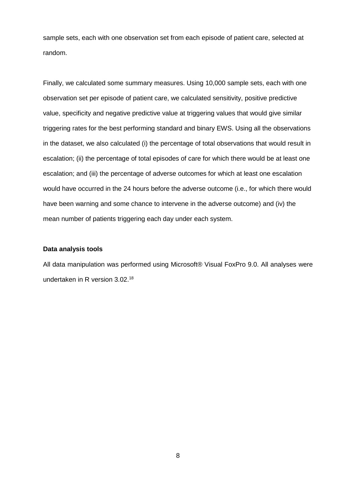sample sets, each with one observation set from each episode of patient care, selected at random.

Finally, we calculated some summary measures. Using 10,000 sample sets, each with one observation set per episode of patient care, we calculated sensitivity, positive predictive value, specificity and negative predictive value at triggering values that would give similar triggering rates for the best performing standard and binary EWS. Using all the observations in the dataset, we also calculated (i) the percentage of total observations that would result in escalation; (ii) the percentage of total episodes of care for which there would be at least one escalation; and (iii) the percentage of adverse outcomes for which at least one escalation would have occurred in the 24 hours before the adverse outcome (i.e., for which there would have been warning and some chance to intervene in the adverse outcome) and (iv) the mean number of patients triggering each day under each system.

#### **Data analysis tools**

All data manipulation was performed using Microsoft® Visual FoxPro 9.0. All analyses were undertaken in R version 3.02. 18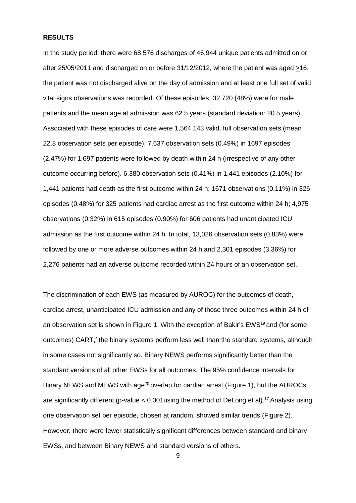## **RESULTS**

In the study period, there were 68,576 discharges of 46,944 unique patients admitted on or after 25/05/2011 and discharged on or before 31/12/2012, where the patient was aged  $\geq$ 16, the patient was not discharged alive on the day of admission and at least one full set of valid vital signs observations was recorded. Of these episodes, 32,720 (48%) were for male patients and the mean age at admission was 62.5 years (standard deviation: 20.5 years). Associated with these episodes of care were 1,564,143 valid, full observation sets (mean 22.8 observation sets per episode). 7,637 observation sets (0.49%) in 1697 episodes (2.47%) for 1,697 patients were followed by death within 24 h (irrespective of any other outcome occurring before). 6,380 observation sets (0.41%) in 1,441 episodes (2.10%) for 1,441 patients had death as the first outcome within 24 h; 1671 observations (0.11%) in 326 episodes (0.48%) for 325 patients had cardiac arrest as the first outcome within 24 h; 4,975 observations (0.32%) in 615 episodes (0.90%) for 606 patients had unanticipated ICU admission as the first outcome within 24 h. In total, 13,026 observation sets (0.83%) were followed by one or more adverse outcomes within 24 h and 2,301 episodes (3.36%) for 2,276 patients had an adverse outcome recorded within 24 hours of an observation set.

The discrimination of each EWS (as measured by AUROC) for the outcomes of death, cardiac arrest, unanticipated ICU admission and any of those three outcomes within 24 h of an observation set is shown in Figure 1. With the exception of Bakir's EWS<sup>19</sup> and (for some outcomes) CART, <sup>4</sup> the binary systems perform less well than the standard systems, although in some cases not significantly so. Binary NEWS performs significantly better than the standard versions of all other EWSs for all outcomes. The 95% confidence intervals for Binary NEWS and MEWS with age<sup>20</sup> overlap for cardiac arrest (Figure 1), but the AUROCs are significantly different (p-value < 0.001using the method of DeLong et al). 17 Analysis using one observation set per episode, chosen at random, showed similar trends (Figure 2). However, there were fewer statistically significant differences between standard and binary EWSs, and between Binary NEWS and standard versions of others.

9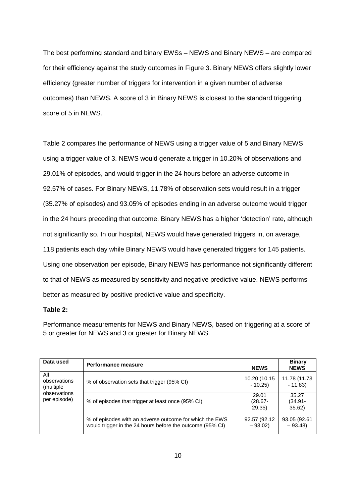The best performing standard and binary EWSs – NEWS and Binary NEWS – are compared for their efficiency against the study outcomes in Figure 3. Binary NEWS offers slightly lower efficiency (greater number of triggers for intervention in a given number of adverse outcomes) than NEWS. A score of 3 in Binary NEWS is closest to the standard triggering score of 5 in NEWS.

Table 2 compares the performance of NEWS using a trigger value of 5 and Binary NEWS using a trigger value of 3. NEWS would generate a trigger in 10.20% of observations and 29.01% of episodes, and would trigger in the 24 hours before an adverse outcome in 92.57% of cases. For Binary NEWS, 11.78% of observation sets would result in a trigger (35.27% of episodes) and 93.05% of episodes ending in an adverse outcome would trigger in the 24 hours preceding that outcome. Binary NEWS has a higher 'detection' rate, although not significantly so. In our hospital, NEWS would have generated triggers in, on average, 118 patients each day while Binary NEWS would have generated triggers for 145 patients. Using one observation per episode, Binary NEWS has performance not significantly different to that of NEWS as measured by sensitivity and negative predictive value. NEWS performs better as measured by positive predictive value and specificity.

## **Table 2:**

Performance measurements for NEWS and Binary NEWS, based on triggering at a score of 5 or greater for NEWS and 3 or greater for Binary NEWS.

| Data used                                                        | Performance measure                                                                                                  | <b>NEWS</b>                  | <b>Binary</b><br><b>NEWS</b> |
|------------------------------------------------------------------|----------------------------------------------------------------------------------------------------------------------|------------------------------|------------------------------|
| All<br>observations<br>(multiple<br>observations<br>per episode) | % of observation sets that trigger (95% CI)                                                                          | 10.20 (10.15<br>$-10.25$     | 11.78 (11.73<br>$-11.83$     |
|                                                                  | % of episodes that trigger at least once (95% CI)                                                                    | 29.01<br>$(28.67 -$<br>29.35 | 35.27<br>(34.91-<br>35.62)   |
|                                                                  | % of episodes with an adverse outcome for which the EWS<br>would trigger in the 24 hours before the outcome (95% CI) | 92.57 (92.12<br>$-93.02$     | 93.05 (92.61<br>$-93.48$     |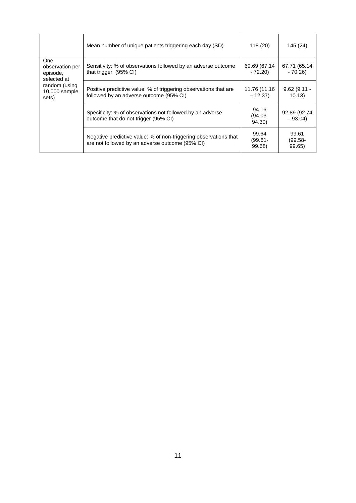|                                                          | Mean number of unique patients triggering each day (SD)                                                             | 118(20)                       | 145 (24)                      |
|----------------------------------------------------------|---------------------------------------------------------------------------------------------------------------------|-------------------------------|-------------------------------|
| <b>One</b><br>observation per<br>episode,<br>selected at | Sensitivity: % of observations followed by an adverse outcome<br>that trigger (95% CI)                              | 69.69 (67.14<br>$-72.20$      | 67.71 (65.14<br>$-70.26$      |
| random (using<br>10,000 sample<br>sets)                  | Positive predictive value: % of triggering observations that are<br>followed by an adverse outcome (95% CI)         | 11.76 (11.16<br>$-12.37$      | $9.62(9.11 -$<br>10.13)       |
|                                                          | Specificity: % of observations not followed by an adverse<br>outcome that do not trigger (95% CI)                   | 94.16<br>$(94.03 -$<br>94.30) | 92.89 (92.74<br>$-93.04$      |
|                                                          | Negative predictive value: % of non-triggering observations that<br>are not followed by an adverse outcome (95% CI) | 99.64<br>$(99.61 -$<br>99.68) | 99.61<br>$(99.58 -$<br>99.65) |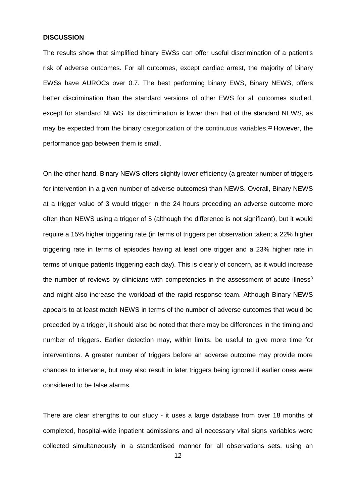## **DISCUSSION**

The results show that simplified binary EWSs can offer useful discrimination of a patient's risk of adverse outcomes. For all outcomes, except cardiac arrest, the majority of binary EWSs have AUROCs over 0.7. The best performing binary EWS, Binary NEWS, offers better discrimination than the standard versions of other EWS for all outcomes studied, except for standard NEWS. Its discrimination is lower than that of the standard NEWS, as may be expected from the binary categorization of the continuous variables.<sup>22</sup> However, the performance gap between them is small.

On the other hand, Binary NEWS offers slightly lower efficiency (a greater number of triggers for intervention in a given number of adverse outcomes) than NEWS. Overall, Binary NEWS at a trigger value of 3 would trigger in the 24 hours preceding an adverse outcome more often than NEWS using a trigger of 5 (although the difference is not significant), but it would require a 15% higher triggering rate (in terms of triggers per observation taken; a 22% higher triggering rate in terms of episodes having at least one trigger and a 23% higher rate in terms of unique patients triggering each day). This is clearly of concern, as it would increase the number of reviews by clinicians with competencies in the assessment of acute illness<sup>3</sup> and might also increase the workload of the rapid response team. Although Binary NEWS appears to at least match NEWS in terms of the number of adverse outcomes that would be preceded by a trigger, it should also be noted that there may be differences in the timing and number of triggers. Earlier detection may, within limits, be useful to give more time for interventions. A greater number of triggers before an adverse outcome may provide more chances to intervene, but may also result in later triggers being ignored if earlier ones were considered to be false alarms.

There are clear strengths to our study - it uses a large database from over 18 months of completed, hospital-wide inpatient admissions and all necessary vital signs variables were collected simultaneously in a standardised manner for all observations sets, using an

12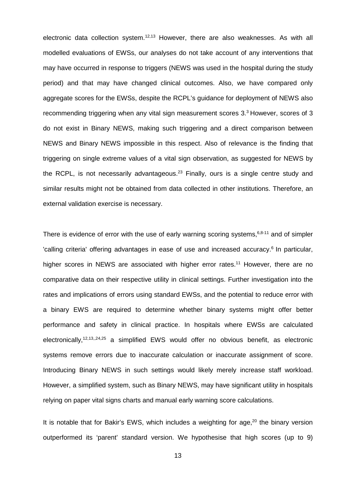electronic data collection system.<sup>12,13</sup> However, there are also weaknesses. As with all modelled evaluations of EWSs, our analyses do not take account of any interventions that may have occurred in response to triggers (NEWS was used in the hospital during the study period) and that may have changed clinical outcomes. Also, we have compared only aggregate scores for the EWSs, despite the RCPL's guidance for deployment of NEWS also recommending triggering when any vital sign measurement scores 3.<sup>3</sup> However, scores of 3 do not exist in Binary NEWS, making such triggering and a direct comparison between NEWS and Binary NEWS impossible in this respect. Also of relevance is the finding that triggering on single extreme values of a vital sign observation, as suggested for NEWS by the RCPL, is not necessarily advantageous.<sup>23</sup> Finally, ours is a single centre study and similar results might not be obtained from data collected in other institutions. Therefore, an external validation exercise is necessary.

There is evidence of error with the use of early warning scoring systems, 6,8-11 and of simpler 'calling criteria' offering advantages in ease of use and increased accuracy. <sup>6</sup> In particular, higher scores in NEWS are associated with higher error rates.<sup>11</sup> However, there are no comparative data on their respective utility in clinical settings. Further investigation into the rates and implications of errors using standard EWSs, and the potential to reduce error with a binary EWS are required to determine whether binary systems might offer better performance and safety in clinical practice. In hospitals where EWSs are calculated electronically,<sup>12,13,,24,25</sup> a simplified EWS would offer no obvious benefit, as electronic systems remove errors due to inaccurate calculation or inaccurate assignment of score. Introducing Binary NEWS in such settings would likely merely increase staff workload. However, a simplified system, such as Binary NEWS, may have significant utility in hospitals relying on paper vital signs charts and manual early warning score calculations.

It is notable that for Bakir's EWS, which includes a weighting for age,<sup>20</sup> the binary version outperformed its 'parent' standard version. We hypothesise that high scores (up to 9)

13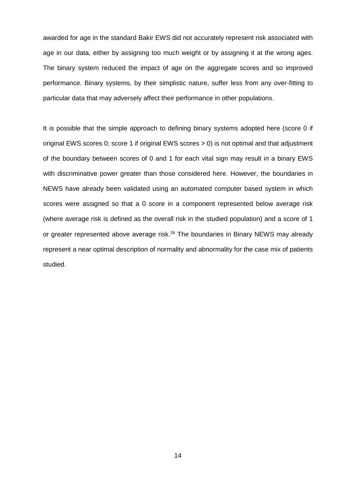awarded for age in the standard Bakir EWS did not accurately represent risk associated with age in our data, either by assigning too much weight or by assigning it at the wrong ages. The binary system reduced the impact of age on the aggregate scores and so improved performance. Binary systems, by their simplistic nature, suffer less from any over-fitting to particular data that may adversely affect their performance in other populations.

It is possible that the simple approach to defining binary systems adopted here (score 0 if original EWS scores 0; score 1 if original EWS scores > 0) is not optimal and that adjustment of the boundary between scores of 0 and 1 for each vital sign may result in a binary EWS with discriminative power greater than those considered here. However, the boundaries in NEWS have already been validated using an automated computer based system in which scores were assigned so that a 0 score in a component represented below average risk (where average risk is defined as the overall risk in the studied population) and a score of 1 or greater represented above average risk.<sup>26</sup> The boundaries in Binary NEWS may already represent a near optimal description of normality and abnormality for the case mix of patients studied.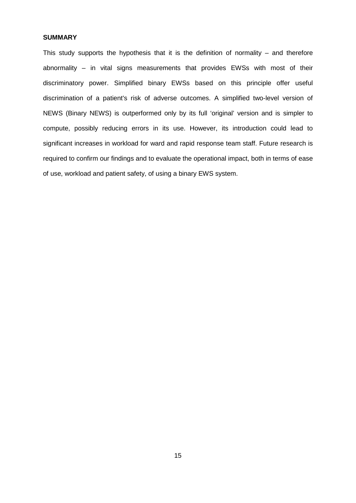## **SUMMARY**

This study supports the hypothesis that it is the definition of normality  $-$  and therefore abnormality – in vital signs measurements that provides EWSs with most of their discriminatory power. Simplified binary EWSs based on this principle offer useful discrimination of a patient's risk of adverse outcomes. A simplified two-level version of NEWS (Binary NEWS) is outperformed only by its full 'original' version and is simpler to compute, possibly reducing errors in its use. However, its introduction could lead to significant increases in workload for ward and rapid response team staff. Future research is required to confirm our findings and to evaluate the operational impact, both in terms of ease of use, workload and patient safety, of using a binary EWS system.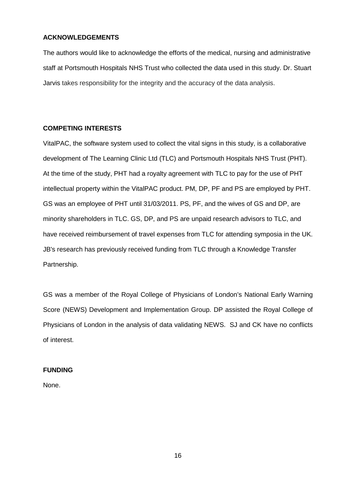## **ACKNOWLEDGEMENTS**

The authors would like to acknowledge the efforts of the medical, nursing and administrative staff at Portsmouth Hospitals NHS Trust who collected the data used in this study. Dr. Stuart Jarvis takes responsibility for the integrity and the accuracy of the data analysis.

# **COMPETING INTERESTS**

VitalPAC, the software system used to collect the vital signs in this study, is a collaborative development of The Learning Clinic Ltd (TLC) and Portsmouth Hospitals NHS Trust (PHT). At the time of the study, PHT had a royalty agreement with TLC to pay for the use of PHT intellectual property within the VitalPAC product. PM, DP, PF and PS are employed by PHT. GS was an employee of PHT until 31/03/2011. PS, PF, and the wives of GS and DP, are minority shareholders in TLC. GS, DP, and PS are unpaid research advisors to TLC, and have received reimbursement of travel expenses from TLC for attending symposia in the UK. JB's research has previously received funding from TLC through a Knowledge Transfer Partnership.

GS was a member of the Royal College of Physicians of London's National Early Warning Score (NEWS) Development and Implementation Group. DP assisted the Royal College of Physicians of London in the analysis of data validating NEWS. SJ and CK have no conflicts of interest.

# **FUNDING**

None.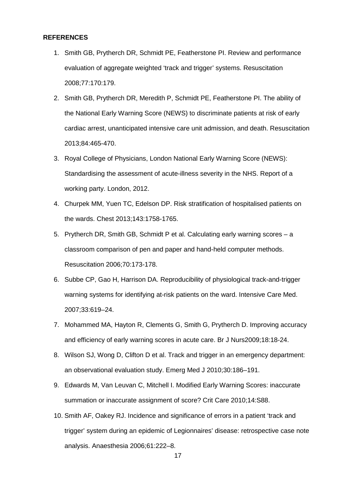#### **REFERENCES**

- 1. Smith GB, Prytherch DR, Schmidt PE, Featherstone PI. Review and performance evaluation of aggregate weighted 'track and trigger' systems. Resuscitation 2008;77:170:179.
- 2. Smith GB, Prytherch DR, Meredith P, Schmidt PE, Featherstone PI. The ability of the National Early Warning Score (NEWS) to discriminate patients at risk of early cardiac arrest, unanticipated intensive care unit admission, and death. Resuscitation 2013;84:465-470.
- 3. Royal College of Physicians, London National Early Warning Score (NEWS): Standardising the assessment of acute-illness severity in the NHS. Report of a working party. London, 2012.
- 4. Churpek MM, Yuen TC, Edelson DP. Risk stratification of hospitalised patients on the wards. Chest 2013;143:1758-1765.
- 5. Prytherch DR, Smith GB, Schmidt P et al. Calculating early warning scores a classroom comparison of pen and paper and hand-held computer methods. Resuscitation 2006;70:173-178.
- 6. Subbe CP, Gao H, Harrison DA. Reproducibility of physiological track-and-trigger warning systems for identifying at-risk patients on the ward. Intensive Care Med. 2007;33:619–24.
- 7. Mohammed MA, Hayton R, Clements G, Smith G, Prytherch D. Improving accuracy and efficiency of early warning scores in acute care. Br J Nurs2009;18:18-24.
- 8. Wilson SJ, Wong D, Clifton D et al. Track and trigger in an emergency department: an observational evaluation study. Emerg Med J 2010;30:186–191.
- 9. Edwards M, Van Leuvan C, Mitchell I. Modified Early Warning Scores: inaccurate summation or inaccurate assignment of score? Crit Care 2010;14:S88.
- 10. Smith AF, Oakey RJ. Incidence and significance of errors in a patient 'track and trigger' system during an epidemic of Legionnaires' disease: retrospective case note analysis. Anaesthesia 2006;61:222–8.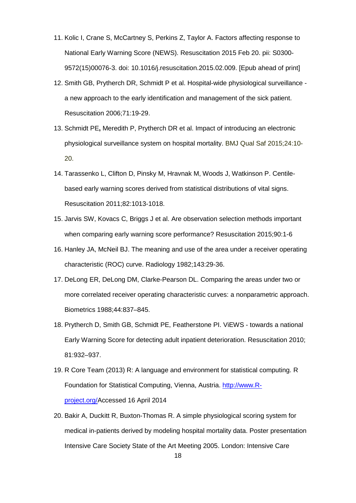- 11. Kolic I, Crane S, McCartney S, Perkins Z, Taylor A. Factors affecting response to National Early Warning Score (NEWS). Resuscitation 2015 Feb 20. pii: S0300- 9572(15)00076-3. doi: 10.1016/j.resuscitation.2015.02.009. [Epub ahead of print]
- 12. Smith GB, Prytherch DR, Schmidt P et al. Hospital-wide physiological surveillance a new approach to the early identification and management of the sick patient. Resuscitation 2006;71:19-29.
- 13. Schmidt PE**,** Meredith P, Prytherch DR et al. Impact of introducing an electronic physiological surveillance system on hospital mortality. BMJ Qual Saf 2015;24:10- 20.
- 14. Tarassenko L, Clifton D, Pinsky M, Hravnak M, Woods J, Watkinson P. Centilebased early warning scores derived from statistical distributions of vital signs. Resuscitation 2011;82:1013-1018.
- 15. Jarvis SW, Kovacs C, Briggs J et al. Are observation selection methods important when comparing early warning score performance? Resuscitation 2015;90:1-6
- 16. Hanley JA, McNeil BJ. The meaning and use of the area under a receiver operating characteristic (ROC) curve. Radiology 1982;143:29-36.
- 17. DeLong ER, DeLong DM, Clarke-Pearson DL. Comparing the areas under two or more correlated receiver operating characteristic curves: a nonparametric approach. Biometrics 1988;44:837–845.
- 18. Prytherch D, Smith GB, Schmidt PE, Featherstone PI. ViEWS towards a national Early Warning Score for detecting adult inpatient deterioration. Resuscitation 2010; 81:932–937.
- 19. R Core Team (2013) R: A language and environment for statistical computing. R Foundation for Statistical Computing, Vienna, Austria. [http://www.R](http://www.r-project.org/)[project.org/A](http://www.r-project.org/)ccessed 16 April 2014
- 20. Bakir A, Duckitt R, Buxton-Thomas R. A simple physiological scoring system for medical in-patients derived by modeling hospital mortality data. Poster presentation Intensive Care Society State of the Art Meeting 2005. London: Intensive Care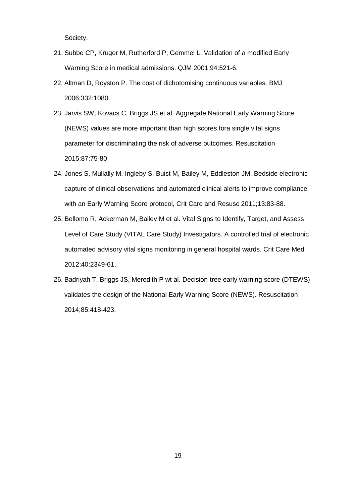Society.

- 21. Subbe CP, Kruger M, Rutherford P, Gemmel L. Validation of a modified Early Warning Score in medical admissions. QJM 2001;94:521-6.
- 22. Altman D, Royston P. The cost of dichotomising continuous variables. BMJ 2006;332:1080.
- 23. Jarvis SW, Kovacs C, Briggs JS et al. Aggregate National Early Warning Score (NEWS) values are more important than high scores fora single vital signs parameter for discriminating the risk of adverse outcomes. Resuscitation 2015;87:75-80
- 24. Jones S, Mullally M, Ingleby S, Buist M, Bailey M, Eddleston JM. Bedside electronic capture of clinical observations and automated clinical alerts to improve compliance with an Early Warning Score protocol, Crit Care and Resusc 2011;13:83-88.
- 25. Bellomo R, Ackerman M, Bailey M et al. Vital Signs to Identify, Target, and Assess Level of Care Study (VITAL Care Study) Investigators. A controlled trial of electronic automated advisory vital signs monitoring in general hospital wards. Crit Care Med 2012;40:2349-61.
- 26. Badriyah T, Briggs JS, Meredith P wt al. Decision-tree early warning score (DTEWS) validates the design of the National Early Warning Score (NEWS). Resuscitation 2014;85:418-423.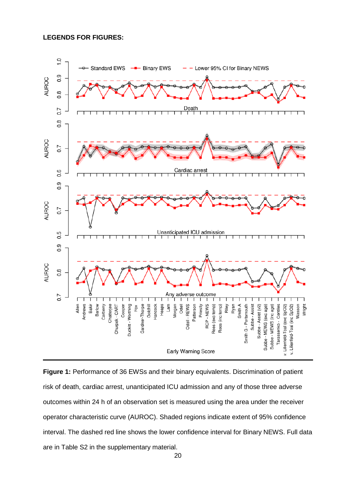## **LEGENDS FOR FIGURES:**



**Figure 1:** Performance of 36 EWSs and their binary equivalents. Discrimination of patient risk of death, cardiac arrest, unanticipated ICU admission and any of those three adverse outcomes within 24 h of an observation set is measured using the area under the receiver operator characteristic curve (AUROC). Shaded regions indicate extent of 95% confidence interval. The dashed red line shows the lower confidence interval for Binary NEWS. Full data are in Table S2 in the supplementary material.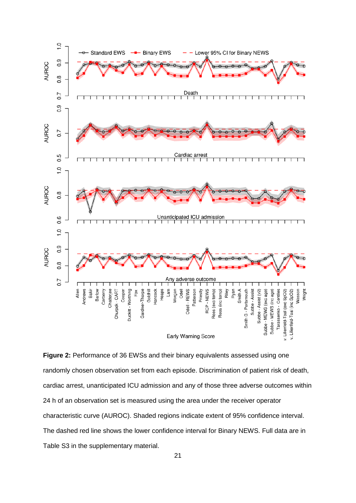

**Figure 2:** Performance of 36 EWSs and their binary equivalents assessed using one randomly chosen observation set from each episode. Discrimination of patient risk of death, cardiac arrest, unanticipated ICU admission and any of those three adverse outcomes within 24 h of an observation set is measured using the area under the receiver operator characteristic curve (AUROC). Shaded regions indicate extent of 95% confidence interval. The dashed red line shows the lower confidence interval for Binary NEWS. Full data are in Table S3 in the supplementary material.